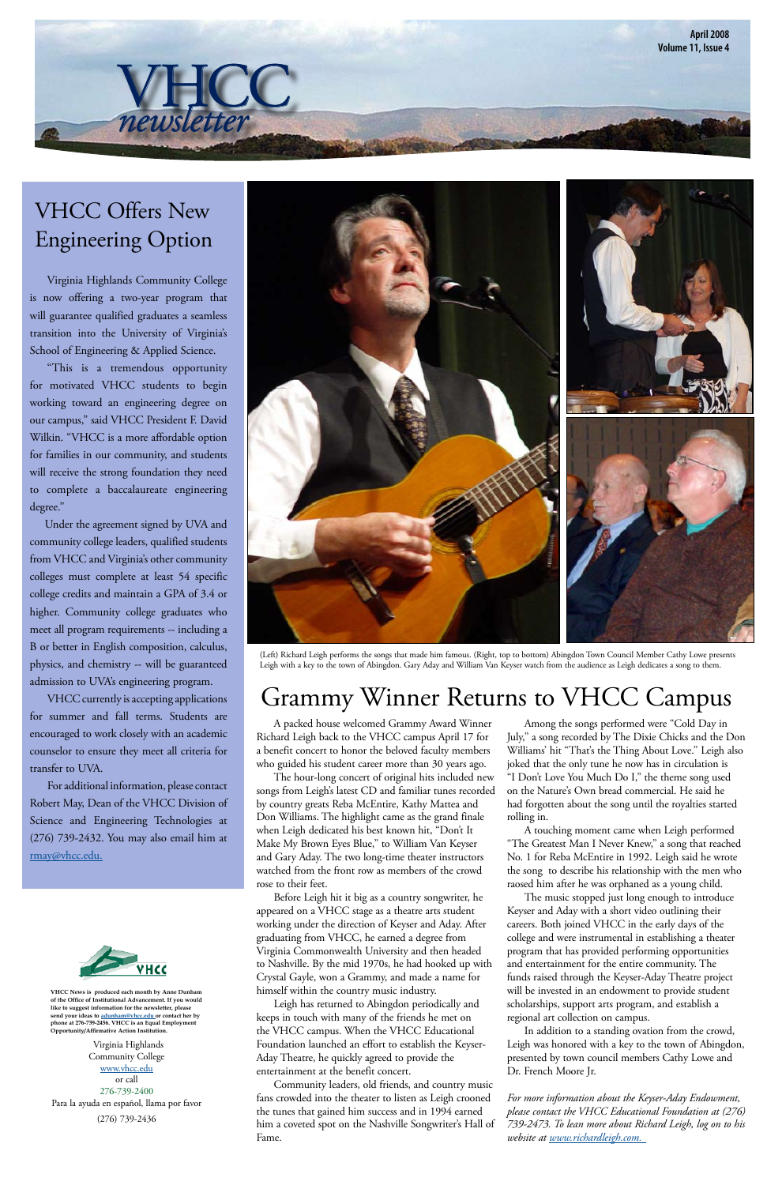A packed house welcomed Grammy Award Winner Richard Leigh back to the VHCC campus April 17 for a benefit concert to honor the beloved faculty members who guided his student career more than 30 years ago.

 The hour-long concert of original hits included new songs from Leigh's latest CD and familiar tunes recorded by country greats Reba McEntire, Kathy Mattea and Don Williams. The highlight came as the grand finale when Leigh dedicated his best known hit, "Don't It Make My Brown Eyes Blue," to William Van Keyser and Gary Aday. The two long-time theater instructors watched from the front row as members of the crowd rose to their feet. Before Leigh hit it big as a country songwriter, he appeared on a VHCC stage as a theatre arts student working under the direction of Keyser and Aday. After graduating from VHCC, he earned a degree from Virginia Commonwealth University and then headed to Nashville. By the mid 1970s, he had hooked up with Crystal Gayle, won a Grammy, and made a name for himself within the country music industry. Leigh has returned to Abingdon periodically and keeps in touch with many of the friends he met on the VHCC campus. When the VHCC Educational Foundation launched an effort to establish the Keyser-Aday Theatre, he quickly agreed to provide the entertainment at the benefit concert. Community leaders, old friends, and country music fans crowded into the theater to listen as Leigh crooned the tunes that gained him success and in 1994 earned him a coveted spot on the Nashville Songwriter's Hall of Fame.

 Among the songs performed were "Cold Day in July," a song recorded by The Dixie Chicks and the Don Williams' hit "That's the Thing About Love." Leigh also joked that the only tune he now has in circulation is "I Don't Love You Much Do I," the theme song used on the Nature's Own bread commercial. He said he had forgotten about the song until the royalties started rolling in.

 A touching moment came when Leigh performed "The Greatest Man I Never Knew," a song that reached No. 1 for Reba McEntire in 1992. Leigh said he wrote the song to describe his relationship with the men who raosed him after he was orphaned as a young child.



VHCC currently is accepting applications for summer and fall terms. Students are encouraged to work closely with an academic counselor to ensure they meet all criteria for transfer to UVA.

> The music stopped just long enough to introduce Keyser and Aday with a short video outlining their careers. Both joined VHCC in the early days of the college and were instrumental in establishing a theater program that has provided performing opportunities and entertainment for the entire community. The funds raised through the Keyser-Aday Theatre project will be invested in an endowment to provide student scholarships, support arts program, and establish a regional art collection on campus.

 In addition to a standing ovation from the crowd, Leigh was honored with a key to the town of Abingdon, presented by town council members Cathy Lowe and Dr. French Moore Jr.

*For more information about the Keyser-Aday Endowment, please contact the VHCC Educational Foundation at (276) 739-2473. To lean more about Richard Leigh, log on to his website at www.richardleigh.com.*

#### Grammy Winner Returns to VHCC Campus

 Virginia Highlands Community College is now offering a two-year program that will guarantee qualified graduates a seamless transition into the University of Virginia's School of Engineering & Applied Science.

 "This is a tremendous opportunity for motivated VHCC students to begin working toward an engineering degree on our campus," said VHCC President F. David Wilkin. "VHCC is a more affordable option for families in our community, and students will receive the strong foundation they need to complete a baccalaureate engineering degree."

 Under the agreement signed by UVA and community college leaders, qualified students from VHCC and Virginia's other community colleges must complete at least 54 specific college credits and maintain a GPA of 3.4 or higher. Community college graduates who meet all program requirements -- including a B or better in English composition, calculus, physics, and chemistry -- will be guaranteed admission to UVA's engineering program.

 For additional information, please contact Robert May, Dean of the VHCC Division of Science and Engineering Technologies at (276) 739-2432. You may also email him at rmay@vhcc.edu.

# VHCC Offers New Engineering Option

 $\overline{n}$ *ewsletter* 



(Left) Richard Leigh performs the songs that made him famous. (Right, top to bottom) Abingdon Town Council Member Cathy Lowe presents Leigh with a key to the town of Abingdon. Gary Aday and William Van Keyser watch from the audience as Leigh dedicates a song to them.

Virginia Highlands Community College www.vhcc.edu or call 276-739-2400 Para la ayuda en español, llama por favor (276) 739-2436

**VHCC News is produced each month by Anne Dunham of the Office of Institutional Advancement. If you would like to suggest information for the newsletter, please send your ideas to adunham@vhcc.edu or contact her by phone at 276-739-2456. VHCC is an Equal Employment Opportunity/Affirmative Action Institution.**